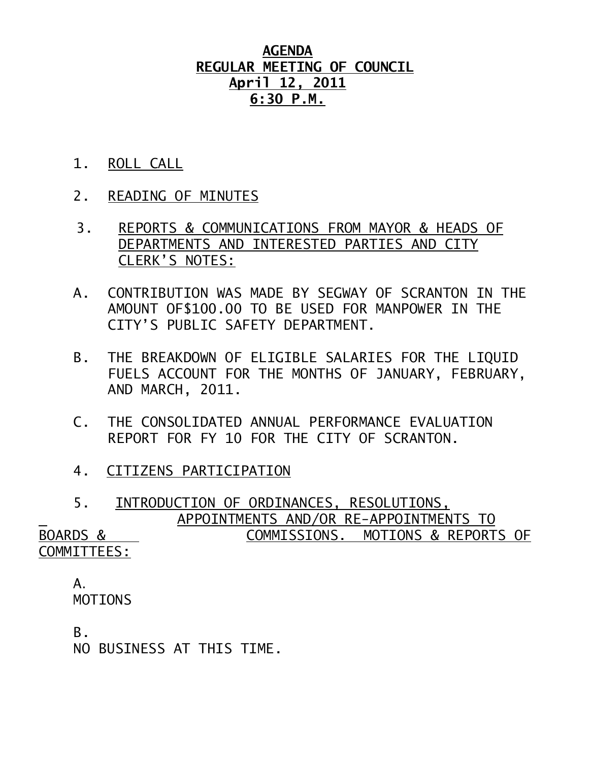## **AGENDA REGULAR MEETING OF COUNCIL April 12, 2011 6:30 P.M.**

- 1. ROLL CALL
- 2. READING OF MINUTES
- 3. REPORTS & COMMUNICATIONS FROM MAYOR & HEADS OF DEPARTMENTS AND INTERESTED PARTIES AND CITY CLERK'S NOTES:
- A. CONTRIBUTION WAS MADE BY SEGWAY OF SCRANTON IN THE AMOUNT OF\$100.00 TO BE USED FOR MANPOWER IN THE CITY'S PUBLIC SAFETY DEPARTMENT.
- B. THE BREAKDOWN OF ELIGIBLE SALARIES FOR THE LIQUID FUELS ACCOUNT FOR THE MONTHS OF JANUARY, FEBRUARY, AND MARCH, 2011.
- C. THE CONSOLIDATED ANNUAL PERFORMANCE EVALUATION REPORT FOR FY 10 FOR THE CITY OF SCRANTON.
- 4. CITIZENS PARTICIPATION

 5. INTRODUCTION OF ORDINANCES, RESOLUTIONS, APPOINTMENTS AND/OR RE-APPOINTMENTS TO BOARDS & COMMISSIONS. MOTIONS & REPORTS OF COMMITTEES:

## A. MOTIONS

B.

NO BUSINESS AT THIS TIME.